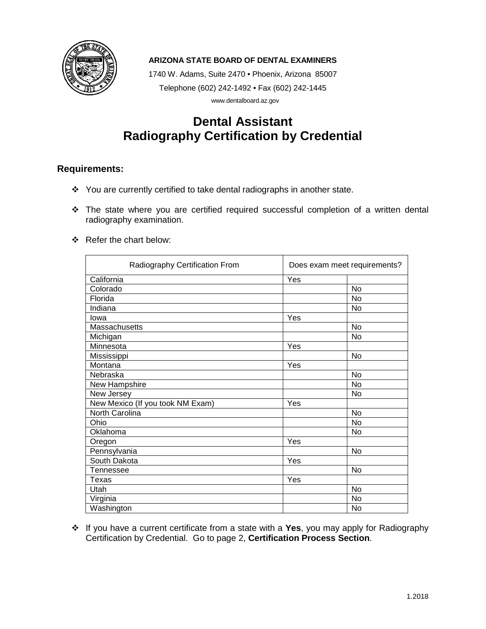

#### **ARIZONA STATE BOARD OF DENTAL EXAMINERS**

1740 W. Adams, Suite 2470 • Phoenix, Arizona 85007 Telephone (602) 242-1492 • Fax (602) 242-1445 www.dentalboard.az.gov

# **Dental Assistant Radiography Certification by Credential**

#### **Requirements:**

- You are currently certified to take dental radiographs in another state.
- \* The state where you are certified required successful completion of a written dental radiography examination.
- ❖ Refer the chart below:

| Radiography Certification From   | Does exam meet requirements? |           |
|----------------------------------|------------------------------|-----------|
| California                       | Yes                          |           |
| Colorado                         |                              | <b>No</b> |
| Florida                          |                              | No        |
| Indiana                          |                              | <b>No</b> |
| lowa                             | Yes                          |           |
| Massachusetts                    |                              | <b>No</b> |
| Michigan                         |                              | No        |
| Minnesota                        | Yes                          |           |
| Mississippi                      |                              | <b>No</b> |
| Montana                          | Yes                          |           |
| Nebraska                         |                              | <b>No</b> |
| New Hampshire                    |                              | No        |
| New Jersey                       |                              | No        |
| New Mexico (If you took NM Exam) | Yes                          |           |
| North Carolina                   |                              | <b>No</b> |
| Ohio                             |                              | <b>No</b> |
| Oklahoma                         |                              | No        |
| Oregon                           | Yes                          |           |
| Pennsylvania                     |                              | <b>No</b> |
| South Dakota                     | Yes                          |           |
| Tennessee                        |                              | No        |
| Texas                            | Yes                          |           |
| Utah                             |                              | <b>No</b> |
| Virginia                         |                              | No        |
| Washington                       |                              | <b>No</b> |

 If you have a current certificate from a state with a **Yes**, you may apply for Radiography Certification by Credential. Go to page 2, **Certification Process Section**.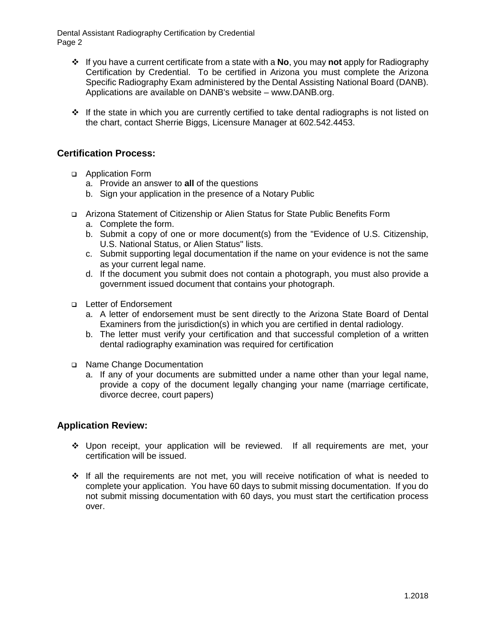Dental Assistant Radiography Certification by Credential Page 2

- If you have a current certificate from a state with a **No**, you may **not** apply for Radiography Certification by Credential. To be certified in Arizona you must complete the Arizona Specific Radiography Exam administered by the Dental Assisting National Board (DANB). Applications are available on DANB's website – www.DANB.org.
- $\div$  If the state in which you are currently certified to take dental radiographs is not listed on the chart, contact Sherrie Biggs, Licensure Manager at 602.542.4453.

### **Certification Process:**

- Application Form
	- a. Provide an answer to **all** of the questions
	- b. Sign your application in the presence of a Notary Public
- Arizona Statement of Citizenship or Alien Status for State Public Benefits Form
	- a. Complete the form.
	- b. Submit a copy of one or more document(s) from the "Evidence of U.S. Citizenship, U.S. National Status, or Alien Status" lists.
	- c. Submit supporting legal documentation if the name on your evidence is not the same as your current legal name.
	- d. If the document you submit does not contain a photograph, you must also provide a government issued document that contains your photograph.
- □ Letter of Endorsement
	- a. A letter of endorsement must be sent directly to the Arizona State Board of Dental Examiners from the jurisdiction(s) in which you are certified in dental radiology.
	- b. The letter must verify your certification and that successful completion of a written dental radiography examination was required for certification
- □ Name Change Documentation
	- a. If any of your documents are submitted under a name other than your legal name, provide a copy of the document legally changing your name (marriage certificate, divorce decree, court papers)

#### **Application Review:**

- Upon receipt, your application will be reviewed. If all requirements are met, your certification will be issued.
- $\cdot \cdot$  If all the requirements are not met, you will receive notification of what is needed to complete your application. You have 60 days to submit missing documentation. If you do not submit missing documentation with 60 days, you must start the certification process over.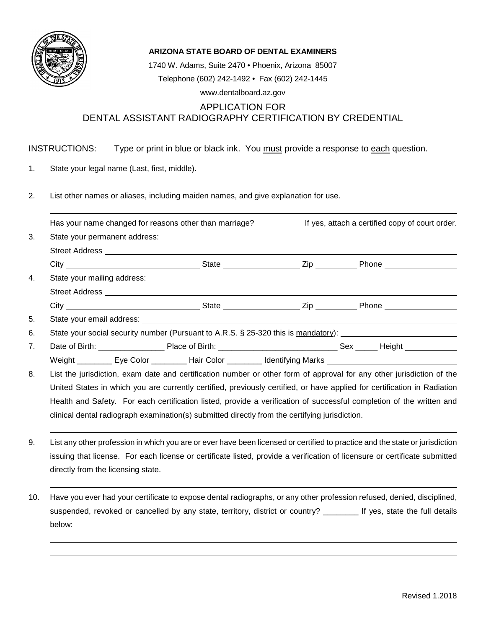

#### **ARIZONA STATE BOARD OF DENTAL EXAMINERS**

1740 W. Adams, Suite 2470 • Phoenix, Arizona 85007 Telephone (602) 242-1492 • Fax (602) 242-1445 www.dentalboard.az.gov

APPLICATION FOR DENTAL ASSISTANT RADIOGRAPHY CERTIFICATION BY CREDENTIAL

#### INSTRUCTIONS: Type or print in blue or black ink. You must provide a response to each question.

1. State your legal name (Last, first, middle).

| Has your name changed for reasons other than marriage? If yes, attach a certified copy of court order. |                                                                                                                                                                                                                                |  |  |
|--------------------------------------------------------------------------------------------------------|--------------------------------------------------------------------------------------------------------------------------------------------------------------------------------------------------------------------------------|--|--|
| State your permanent address:                                                                          |                                                                                                                                                                                                                                |  |  |
|                                                                                                        |                                                                                                                                                                                                                                |  |  |
|                                                                                                        |                                                                                                                                                                                                                                |  |  |
| State your mailing address:                                                                            |                                                                                                                                                                                                                                |  |  |
|                                                                                                        |                                                                                                                                                                                                                                |  |  |
|                                                                                                        |                                                                                                                                                                                                                                |  |  |
|                                                                                                        | State your email address: example and an architecture of the state of the state of the state of the state of the state of the state of the state of the state of the state of the state of the state of the state of the state |  |  |
|                                                                                                        | State your social security number (Pursuant to A.R.S. § 25-320 this is mandatory):                                                                                                                                             |  |  |
|                                                                                                        |                                                                                                                                                                                                                                |  |  |

Weight **Eye Color Hair Color Hall Execution** Identifying Marks

8. List the jurisdiction, exam date and certification number or other form of approval for any other jurisdiction of the United States in which you are currently certified, previously certified, or have applied for certification in Radiation Health and Safety. For each certification listed, provide a verification of successful completion of the written and clinical dental radiograph examination(s) submitted directly from the certifying jurisdiction.

- 9. List any other profession in which you are or ever have been licensed or certified to practice and the state or jurisdiction issuing that license. For each license or certificate listed, provide a verification of licensure or certificate submitted directly from the licensing state.
- 10. Have you ever had your certificate to expose dental radiographs, or any other profession refused, denied, disciplined, suspended, revoked or cancelled by any state, territory, district or country? \_\_\_\_\_\_\_\_ If yes, state the full details below: